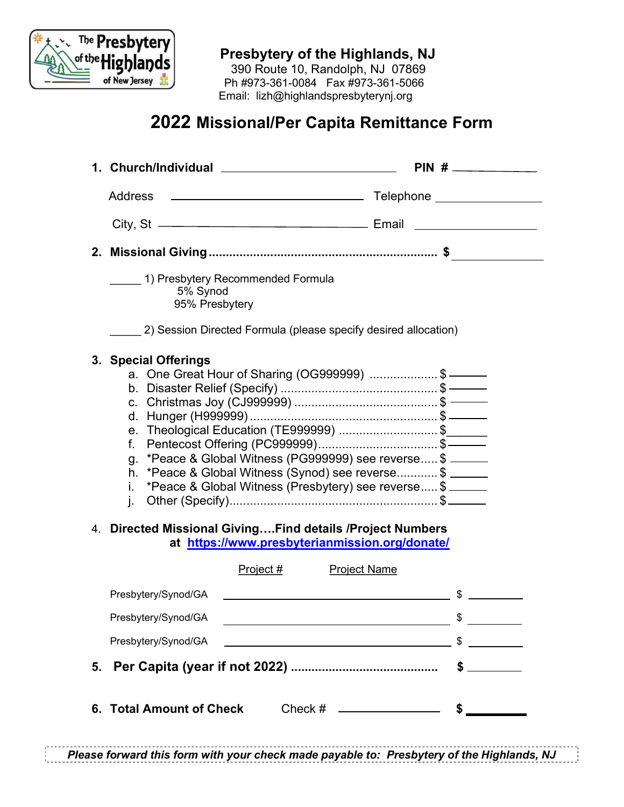

Presbytery of the Highlands, NJ

 390 Route 10, Randolph, NJ 07869 Ph #973-361-0084 Fax #973-361-5066 Email: lizh@highlandspresbyterynj.org

## 2022 Missional/Per Capita Remittance Form

|                                                                                                              | PIN #                                                                                                                                                                                                                                                     |
|--------------------------------------------------------------------------------------------------------------|-----------------------------------------------------------------------------------------------------------------------------------------------------------------------------------------------------------------------------------------------------------|
| <b>Address</b>                                                                                               |                                                                                                                                                                                                                                                           |
|                                                                                                              |                                                                                                                                                                                                                                                           |
|                                                                                                              |                                                                                                                                                                                                                                                           |
| 1) Presbytery Recommended Formula<br>5% Synod<br>95% Presbytery                                              |                                                                                                                                                                                                                                                           |
| 2) Session Directed Formula (please specify desired allocation)                                              |                                                                                                                                                                                                                                                           |
| 3. Special Offerings<br>f.<br>g.<br>L.                                                                       | a. One Great Hour of Sharing (OG999999) \$ ———<br>e. Theological Education (TE999999) \$<br>*Peace & Global Witness (PG999999) see reverse \$<br>h. *Peace & Global Witness (Synod) see reverse \$<br>*Peace & Global Witness (Presbytery) see reverse \$ |
| 4. Directed Missional GivingFind details / Project Numbers<br>at https://www.presbyterianmission.org/donate/ |                                                                                                                                                                                                                                                           |
| Project #                                                                                                    | <b>Project Name</b>                                                                                                                                                                                                                                       |
| Presbytery/Synod/GA                                                                                          | <u> 1989 - Johann Stein, marwolaethau a bhann an t-Amhair an t-Amhair an t-Amhair an t-Amhair an t-Amhair an t-A</u>                                                                                                                                      |
| Presbytery/Synod/GA                                                                                          | \$<br><u> 1989 - Johann Barn, fransk politik amerikansk politik (</u>                                                                                                                                                                                     |
| Presbytery/Synod/GA                                                                                          | $\frac{1}{2}$                                                                                                                                                                                                                                             |
|                                                                                                              |                                                                                                                                                                                                                                                           |
| 6. Total Amount of Check                                                                                     | Check # _______________                                                                                                                                                                                                                                   |

Please forward this form with your check made payable to: Presbytery of the Highlands, NJ